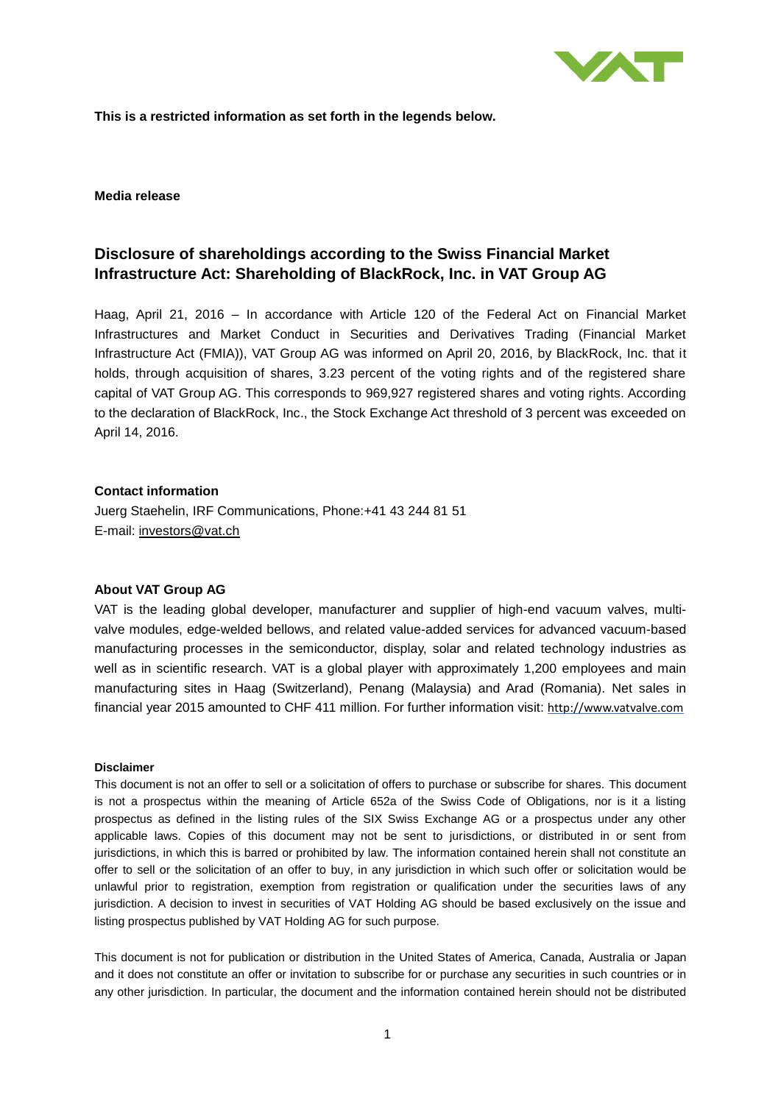

**This is a restricted information as set forth in the legends below.**

### **Media release**

# **Disclosure of shareholdings according to the Swiss Financial Market Infrastructure Act: Shareholding of BlackRock, Inc. in VAT Group AG**

Haag, April 21, 2016 – In accordance with Article 120 of the Federal Act on Financial Market Infrastructures and Market Conduct in Securities and Derivatives Trading (Financial Market Infrastructure Act (FMIA)), VAT Group AG was informed on April 20, 2016, by BlackRock, Inc. that it holds, through acquisition of shares, 3.23 percent of the voting rights and of the registered share capital of VAT Group AG. This corresponds to 969,927 registered shares and voting rights. According to the declaration of BlackRock, Inc., the Stock Exchange Act threshold of 3 percent was exceeded on April 14, 2016.

### **Contact information**

Juerg Staehelin, IRF Communications, Phone:+41 43 244 81 51 E-mail: [investors@vat.ch](mailto:investors@vat.ch)

# **About VAT Group AG**

VAT is the leading global developer, manufacturer and supplier of high-end vacuum valves, multivalve modules, edge-welded bellows, and related value-added services for advanced vacuum-based manufacturing processes in the semiconductor, display, solar and related technology industries as well as in scientific research. VAT is a global player with approximately 1,200 employees and main manufacturing sites in Haag (Switzerland), Penang (Malaysia) and Arad (Romania). Net sales in financial year 2015 amounted to CHF 411 million. For further information visit: [http://www.vatvalve.com](http://www.vatvalve.com/)

#### **Disclaimer**

This document is not an offer to sell or a solicitation of offers to purchase or subscribe for shares. This document is not a prospectus within the meaning of Article 652a of the Swiss Code of Obligations, nor is it a listing prospectus as defined in the listing rules of the SIX Swiss Exchange AG or a prospectus under any other applicable laws. Copies of this document may not be sent to jurisdictions, or distributed in or sent from jurisdictions, in which this is barred or prohibited by law. The information contained herein shall not constitute an offer to sell or the solicitation of an offer to buy, in any jurisdiction in which such offer or solicitation would be unlawful prior to registration, exemption from registration or qualification under the securities laws of any jurisdiction. A decision to invest in securities of VAT Holding AG should be based exclusively on the issue and listing prospectus published by VAT Holding AG for such purpose.

This document is not for publication or distribution in the United States of America, Canada, Australia or Japan and it does not constitute an offer or invitation to subscribe for or purchase any securities in such countries or in any other jurisdiction. In particular, the document and the information contained herein should not be distributed